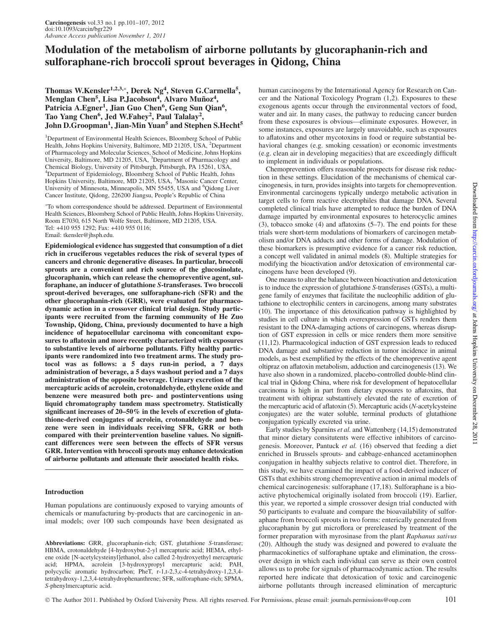# Modulation of the metabolism of airborne pollutants by glucoraphanin-rich and sulforaphane-rich broccoli sprout beverages in Qidong, China

# Thomas W.Kensler<sup>1,2,3,</sup>\*, Derek Ng<sup>4</sup>, Steven G.Carmella<sup>5</sup>, Menglan Chen<sup>5</sup>, Lisa P.Jacobson<sup>4</sup>, Alvaro Muñoz<sup>4</sup>, Patricia A.Egner<sup>1</sup>, Jian Guo Chen<sup>6</sup>, Geng Sun Qian<sup>6</sup>, Tao Yang Chen<sup>6</sup>, Jed W.Fahey<sup>2</sup>, Paul Talalay<sup>2</sup>, John D.Groopman<sup>1</sup>, Jian-Min Yuan<sup>5</sup> and Stephen S.Hecht<sup>5</sup>

<sup>1</sup>Department of Environmental Health Sciences, Bloomberg School of Public Health, Johns Hopkins University, Baltimore, MD 21205, USA, <sup>2</sup>Department of Pharmacology and Molecular Sciences, School of Medicine, Johns Hopkins University, Baltimore, MD 21205, USA, <sup>3</sup>Department of Pharmacology and Chemical Biology, University of Pittsburgh, Pittsburgh, PA 15261, USA, 4 Department of Epidemiology, Bloomberg School of Public Health, Johns Hopkins University, Baltimore, MD 21205, USA, <sup>5</sup>Masonic Cancer Center, University of Minnesota, Minneapolis, MN 55455, USA and <sup>6</sup>Qidong Liver Cancer Institute, Qidong, 226200 Jiangsu, People's Republic of China

 To whom correspondence should be addressed. Department of Environmental Health Sciences, Bloomberg School of Public Health, Johns Hopkins University, Room E7030, 615 North Wolfe Street, Baltimore, MD 21205, USA. Tel: +410 955 1292; Fax: +410 955 0116; Email: tkensler@jhsph.edu.

Epidemiological evidence has suggested that consumption of a diet rich in cruciferous vegetables reduces the risk of several types of cancers and chronic degenerative diseases. In particular, broccoli sprouts are a convenient and rich source of the glucosinolate, glucoraphanin, which can release the chemopreventive agent, sulforaphane, an inducer of glutathione S-transferases. Two broccoli sprout-derived beverages, one sulforaphane-rich (SFR) and the other glucoraphanin-rich (GRR), were evaluated for pharmacodynamic action in a crossover clinical trial design. Study participants were recruited from the farming community of He Zuo Township, Qidong, China, previously documented to have a high incidence of hepatocellular carcinoma with concomitant exposures to aflatoxin and more recently characterized with exposures to substantive levels of airborne pollutants. Fifty healthy participants were randomized into two treatment arms. The study protocol was as follows: a 5 days run-in period, a 7 days administration of beverage, a 5 days washout period and a 7 days administration of the opposite beverage. Urinary excretion of the mercapturic acids of acrolein, crotonaldehyde, ethylene oxide and benzene were measured both pre- and postinterventions using liquid chromatography tandem mass spectrometry. Statistically significant increases of 20–50% in the levels of excretion of glutathione-derived conjugates of acrolein, crotonaldehyde and benzene were seen in individuals receiving SFR, GRR or both compared with their preintervention baseline values. No significant differences were seen between the effects of SFR versus GRR. Intervention with broccoli sprouts may enhance detoxication of airborne pollutants and attenuate their associated health risks.

# Introduction

Human populations are continuously exposed to varying amounts of chemicals or manufacturing by-products that are carcinogenic in animal models; over 100 such compounds have been designated as

Abbreviations: GRR, glucoraphanin-rich; GST, glutathione S-transferase; HBMA, crotonaldehyde [4-hydroxybut-2-yl mercapturic acid; HEMA, ethylene oxide [N-acetylcysteinyl]ethanol, also called 2-hydroxyethyl mercapturic acid; HPMA, acrolein [3-hydroxypropyl mercapturic acid; PAH, polycyclic aromatic hydrocarbon; PheT, r-1,t-2,3,c-4-tetrahydroxy-1,2,3,4 tetrahydroxy-1,2,3,4-tetrahydrophenanthrene; SFR, sulforaphane-rich; SPMA, S-phenylmercapturic acid.

human carcinogens by the International Agency for Research on Cancer and the National Toxicology Program (1,2). Exposures to these exogenous agents occur through the environmental vectors of food, water and air. In many cases, the pathway to reducing cancer burden from these exposures is obvious—eliminate exposures. However, in some instances, exposures are largely unavoidable, such as exposures to aflatoxins and other mycotoxins in food or require substantial behavioral changes (e.g. smoking cessation) or economic investments (e.g. clean air in developing megacities) that are exceedingly difficult to implement in individuals or populations.

Chemoprevention offers reasonable prospects for disease risk reduction in these settings. Elucidation of the mechanisms of chemical carcinogenesis, in turn, provides insights into targets for chemoprevention. Environmental carcinogens typically undergo metabolic activation in target cells to form reactive electrophiles that damage DNA. Several completed clinical trials have attempted to reduce the burden of DNA damage imparted by environmental exposures to heterocyclic amines (3), tobacco smoke (4) and aflatoxins (5–7). The end points for these trials were short-term modulations of biomarkers of carcinogen metabolism and/or DNA adducts and other forms of damage. Modulation of these biomarkers is presumptive evidence for a cancer risk reduction, a concept well validated in animal models (8). Multiple strategies for modifying the bioactivation and/or detoxication of environmental carcinogens have been developed (9).

One means to alter the balance between bioactivation and detoxication is to induce the expression of glutathione S-transferases (GSTs), a multigene family of enzymes that facilitate the nucleophilic addition of glutathione to electrophilic centers in carcinogens, among many substrates (10). The importance of this detoxification pathway is highlighted by studies in cell culture in which overexpression of GSTs renders them resistant to the DNA-damaging actions of carcinogens, whereas disruption of GST expression in cells or mice renders them more sensitive (11,12). Pharmacological induction of GST expression leads to reduced DNA damage and substantive reduction in tumor incidence in animal models, as best exemplified by the effects of the chemopreventive agent oltipraz on aflatoxin metabolism, adduction and carcinogenesis (13). We have also shown in a randomized, placebo-controlled double-blind clinical trial in Qidong China, where risk for development of hepatocellular carcinoma is high in part from dietary exposures to aflatoxins, that treatment with oltipraz substantively elevated the rate of excretion of the mercapturic acid of aflatoxin (5). Mercapturic acids (N-acetylcysteine conjugates) are the water soluble, terminal products of glutathione conjugation typically excreted via urine.

Early studies by Sparnins et al. and Wattenberg (14,15) demonstrated that minor dietary consitutents were effective inhibitors of carcinogenesis. Moreover, Pantuck et al. (16) observed that feeding a diet enriched in Brussels sprouts- and cabbage-enhanced acetaminophen conjugation in healthy subjects relative to control diet. Therefore, in this study, we have examined the impact of a food-derived inducer of GSTs that exhibits strong chemopreventive action in animal models of chemical carcinogenesis: sulforaphane (17,18). Sulforaphane is a bioactive phytochemical originally isolated from broccoli (19). Earlier, this year, we reported a simple crossover design trial conducted with 50 participants to evaluate and compare the bioavailability of sulforaphane from broccoli sprouts in two forms: enterically generated from glucoraphanin by gut microflora or prereleased by treatment of the former preparation with myrosinase from the plant Raphanus sativus (20). Although the study was designed and powered to evaluate the pharmacokinetics of sulforaphane uptake and elimination, the crossover design in which each individual can serve as their own control allows us to probe for signals of pharmacodynamic action. The results reported here indicate that detoxication of toxic and carcinogenic airborne pollutants through increased elimination of mercapturic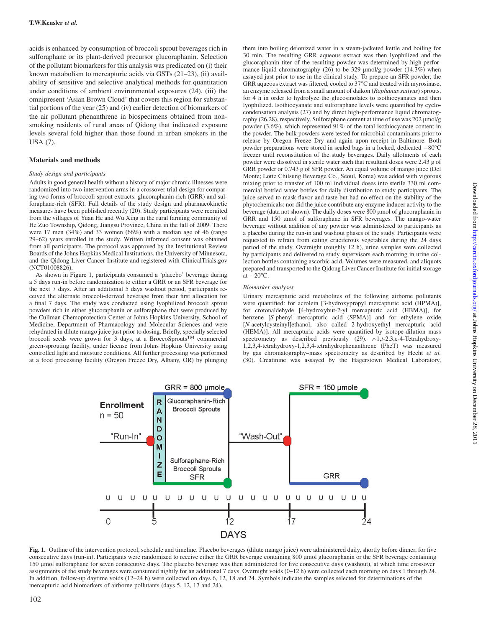acids is enhanced by consumption of broccoli sprout beverages rich in sulforaphane or its plant-derived precursor glucoraphanin. Selection of the pollutant biomarkers for this analysis was predicated on (i) their known metabolism to mercapturic acids via GSTs (21–23), (ii) availability of sensitive and selective analytical methods for quantitation under conditions of ambient environmental exposures (24), (iii) the omnipresent 'Asian Brown Cloud' that covers this region for substantial portions of the year (25) and (iv) earlier detection of biomarkers of the air pollutant phenanthrene in biospecimens obtained from nonsmoking residents of rural areas of Qidong that indicated exposure levels several fold higher than those found in urban smokers in the USA (7).

## Materials and methods

#### Study design and participants

Adults in good general health without a history of major chronic illnesses were randomized into two intervention arms in a crossover trial design for comparing two forms of broccoli sprout extracts: glucoraphanin-rich (GRR) and sulforaphane-rich (SFR). Full details of the study design and pharmacokinetic measures have been published recently (20). Study participants were recruited from the villages of Yuan He and Wu Xing in the rural farming community of He Zuo Township, Qidong, Jiangsu Province, China in the fall of 2009. There were 17 men (34%) and 33 women (66%) with a median age of 46 (range 29–62) years enrolled in the study. Written informed consent was obtained from all participants. The protocol was approved by the Institutional Review Boards of the Johns Hopkins Medical Institutions, the University of Minnesota, and the Qidong Liver Cancer Institute and registered with [ClinicalTrials.gov](http://ClinicalTrials.gov) (NCT01008826).

As shown in Figure 1, participants consumed a 'placebo' beverage during a 5 days run-in before randomization to either a GRR or an SFR beverage for the next 7 days. After an additional 5 days washout period, participants received the alternate broccoli-derived beverage from their first allocation for a final 7 days. The study was conducted using lyophilized broccoli sprout powders rich in either glucoraphanin or sulforaphane that were produced by the Cullman Chemoprotection Center at Johns Hopkins University, School of Medicine, Department of Pharmacology and Molecular Sciences and were rehydrated in dilute mango juice just prior to dosing. Briefly, specially selected broccoli seeds were grown for 3 days, at a BroccoSprouts<sup>TM</sup> commercial green-sprouting facility, under license from Johns Hopkins University using controlled light and moisture conditions. All further processing was performed at a food processing facility (Oregon Freeze Dry, Albany, OR) by plunging

them into boiling deionized water in a steam-jacketed kettle and boiling for 30 min. The resulting GRR aqueous extract was then lyophilized and the glucoraphanin titer of the resulting powder was determined by high-performance liquid chromatography (26) to be 329  $\mu$ mol/g powder (14.3%) when assayed just prior to use in the clinical study. To prepare an SFR powder, the GRR aqueous extract was filtered, cooled to  $37^{\circ}$ C and treated with myrosinase, an enzyme released from a small amount of daikon (Raphanus sativus) sprouts, for 4 h in order to hydrolyze the glucosinolates to isothiocyanates and then lyophilized. Isothiocyanate and sulforaphane levels were quantified by cyclocondensation analysis (27) and by direct high-performance liquid chromatography  $(26,28)$ , respectively. Sulforaphane content at time of use was  $202 \mu m o l/g$ powder (3.6%), which represented 91% of the total isothiocyanate content in the powder. The bulk powders were tested for microbial contaminants prior to release by Oregon Freeze Dry and again upon receipt in Baltimore. Both powder preparations were stored in sealed bags in a locked, dedicated -80°C freezer until reconstitution of the study beverages. Daily allotments of each powder were dissolved in sterile water such that resultant doses were 2.43 g of GRR powder or 0.743 g of SFR powder. An equal volume of mango juice (Del Monte; Lotte Chilsung Beverage Co., Seoul, Korea) was added with vigorous mixing prior to transfer of 100 ml individual doses into sterile 330 ml commercial bottled water bottles for daily distribution to study participants. The juice served to mask flavor and taste but had no effect on the stability of the phytochemicals; nor did the juice contribute any enzyme inducer activity to the beverage (data not shown). The daily doses were 800 µmol of glucoraphanin in GRR and 150 µmol of sulforaphane in SFR beverages. The mango-water beverage without addition of any powder was administered to participants as a placebo during the run-in and washout phases of the study. Participants were requested to refrain from eating cruciferous vegetables during the 24 days period of the study. Overnight (roughly 12 h), urine samples were collected by participants and delivered to study supervisors each morning in urine collection bottles containing ascorbic acid. Volumes were measured, and aliquots prepared and transported to the Qidong Liver Cancer Institute for initial storage at  $-20^{\circ}$ C.

#### Biomarker analyses

Urinary mercapturic acid metabolites of the following airborne pollutants were quantified: for acrolein [3-hydroxypropyl mercapturic acid (HPMA)], for crotonaldehyde [4-hydroxybut-2-yl mercapturic acid (HBMA)], for benzene [S-phenyl mercapturic acid (SPMA)] and for ethylene oxide [N-acetylcysteinyl]ethanol, also called 2-hydroxyethyl mercapturic acid (HEMA)]. All mercapturic acids were quantified by isotope-dilution mass spectrometry as described previously (29). r-1,t-2,3,c-4-Tetrahydroxy-1,2,3,4-tetrahydroxy-1,2,3,4-tetrahydrophenanthrene (PheT) was measured by gas chromatography–mass spectrometry as described by Hecht et al. (30). Creatinine was assayed by the Hagerstown Medical Laboratory,



Fig. 1. Outline of the intervention protocol, schedule and timeline. Placebo beverages (dilute mango juice) were administered daily, shortly before dinner, for five consecutive days (run-in). Participants were randomized to receive either the GRR beverage containing 800 µmol glucoraphanin or the SFR beverage containing 150 lmol sulforaphane for seven consecutive days. The placebo beverage was then administered for five consecutive days (washout), at which time crossover assignments of the study beverages were consumed nightly for an additional 7 days. Overnight voids (0–12 h) were collected each morning on days 1 through 24. In addition, follow-up daytime voids (12–24 h) were collected on days 6, 12, 18 and 24. Symbols indicate the samples selected for determinations of the mercapturic acid biomarkers of airborne pollutants (days 5, 12, 17 and 24).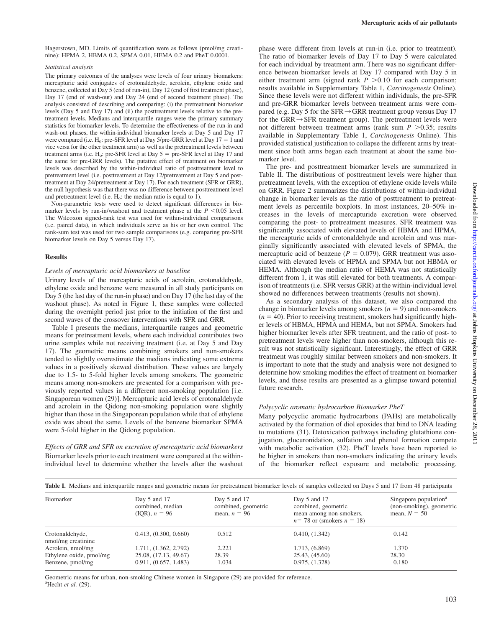Hagerstown, MD. Limits of quantification were as follows (pmol/mg creatinine): HPMA 2, HBMA 0.2, SPMA 0.01, HEMA 0.2 and PheT 0.0001.

#### Statistical analysis

The primary outcomes of the analyses were levels of four urinary biomarkers: mercapturic acid conjugates of crotonaldehyde, acrolein, ethylene oxide and benzene, collected at Day 5 (end of run-in), Day 12 (end of first treatment phase), Day 17 (end of wash-out) and Day 24 (end of second treatment phase). The analysis consisted of describing and comparing: (i) the pretreatment biomarker levels (Day 5 and Day 17) and (ii) the posttreatment levels relative to the pretreatment levels. Medians and interquartile ranges were the primary summary statistics for biomarker levels. To determine the effectiveness of the run-in and wash-out phases, the within-individual biomarker levels at Day 5 and Day 17 were compared (i.e.  $H_0$ : pre-SFR level at Day 5/pre-GRR level at Day 17 = 1 and vice versa for the other treatment arm) as well as the pretreatment levels between treatment arms (i.e.  $H_0$ : pre-SFR level at Day  $5 =$  pre-SFR level at Day 17 and the same for pre-GRR levels). The putative effect of treatment on biomarker levels was described by the within-individual ratio of posttreatment level to pretreatment level (i.e. posttreatment at Day 12/pretreatment at Day 5 and posttreatment at Day 24/pretreatment at Day 17). For each treatment (SFR or GRR), the null hypothesis was that there was no difference between posttreatment level and pretreatment level (i.e.  $H_0$ : the median ratio is equal to 1).

Non-parametric tests were used to detect significant differences in biomarker levels by run-in/washout and treatment phase at the  $P \le 0.05$  level. The Wilcoxon signed-rank test was used for within-individual comparisons (i.e. paired data), in which individuals serve as his or her own control. The rank-sum test was used for two sample comparisons (e.g. comparing pre-SFR biomarker levels on Day 5 versus Day 17).

#### Results

#### Levels of mercapturic acid biomarkers at baseline

Urinary levels of the mercapturic acids of acrolein, crotonaldehyde, ethylene oxide and benzene were measured in all study participants on Day 5 (the last day of the run-in phase) and on Day 17 (the last day of the washout phase). As noted in Figure 1, these samples were collected during the overnight period just prior to the initiation of the first and second waves of the crossover interventions with SFR and GRR.

Table I presents the medians, interquartile ranges and geometric means for pretreatment levels, where each individual contributes two urine samples while not receiving treatment (i.e. at Day 5 and Day 17). The geometric means combining smokers and non-smokers tended to slightly overestimate the medians indicating some extreme values in a positively skewed distribution. These values are largely due to 1.5- to 5-fold higher levels among smokers. The geometric means among non-smokers are presented for a comparison with previously reported values in a different non-smoking population [i.e. Singaporean women (29)]. Mercapturic acid levels of crotonaldehyde and acrolein in the Qidong non-smoking population were slightly higher than those in the Singaporean population while that of ethylene oxide was about the same. Levels of the benzene biomarker SPMA were 5-fold higher in the Qidong population.

Effects of GRR and SFR on excretion of mercapturic acid biomarkers Biomarker levels prior to each treatment were compared at the withinindividual level to determine whether the levels after the washout

phase were different from levels at run-in (i.e. prior to treatment). The ratio of biomarker levels of Day 17 to Day 5 were calculated for each individual by treatment arm. There was no significant difference between biomarker levels at Day 17 compared with Day 5 in either treatment arm (signed rank  $P > 0.10$  for each comparison; results available in [Supplementary Table 1](http://www.carcin.oxfordjournals.org/lookup/suppl/doi:10.1093/carcin/bgr229/-/DC1), Carcinogenesis Online). Since these levels were not different within individuals, the pre-SFR and pre-GRR biomarker levels between treatment arms were compared (e.g. Day 5 for the SFR $\rightarrow$ GRR treatment group versus Day 17 for the GRR $\rightarrow$ SFR treatment group). The pretreatment levels were not different between treatment arms (rank sum  $P > 0.35$ ; results available in [Supplementary Table 1](http://www.carcin.oxfordjournals.org/lookup/suppl/doi:10.1093/carcin/bgr229/-/DC1), Carcinogenesis Online). This provided statistical justification to collapse the different arms by treatment since both arms began each treatment at about the same biomarker level.

The pre- and posttreatment biomarker levels are summarized in Table II. The distributions of posttreatment levels were higher than pretreatment levels, with the exception of ethylene oxide levels while on GRR. Figure 2 summarizes the distributions of within-individual change in biomarker levels as the ratio of posttreatment to pretreatment levels as percentile boxplots. In most instances, 20–50% increases in the levels of mercapturide excretion were observed comparing the post- to pretreatment measures. SFR treatment was significantly associated with elevated levels of HBMA and HPMA, the mercapturic acids of crotonaldehyde and acrolein and was marginally significantly associated with elevated levels of SPMA, the mercapturic acid of benzene ( $P = 0.079$ ). GRR treatment was associated with elevated levels of HPMA and SPMA but not HBMA or HEMA. Although the median ratio of HEMA was not statistically different from 1, it was still elevated for both treatments. A comparison of treatments (i.e. SFR versus GRR) at the within-individual level showed no differences between treatments (results not shown).

As a secondary analysis of this dataset, we also compared the change in biomarker levels among smokers ( $n = 9$ ) and non-smokers  $(n = 40)$ . Prior to receiving treatment, smokers had significantly higher levels of HBMA, HPMA and HEMA, but not SPMA. Smokers had higher biomarker levels after SFR treatment, and the ratio of post- to pretreatment levels were higher than non-smokers, although this result was not statistically significant. Interestingly, the effect of GRR treatment was roughly similar between smokers and non-smokers. It is important to note that the study and analysis were not designed to determine how smoking modifies the effect of treatment on biomarker levels, and these results are presented as a glimpse toward potential future research.

## Polycyclic aromatic hydrocarbon Biomarker PheT

Many polycyclic aromatic hydrocarbons (PAHs) are metabolically activated by the formation of diol epoxides that bind to DNA leading to mutations (31). Detoxication pathways including glutathione conjugation, glucuronidation, sulfation and phenol formation compete with metabolic activation (32). PheT levels have been reported to be higher in smokers than non-smokers indicating the urinary levels of the biomarker reflect exposure and metabolic processing.

| Table I. Medians and interquartile ranges and geometric means for pretreatment biomarker levels of samples collected on Days 5 and 17 from 48 participants |                                                         |                                                           |                                                                                                   |                                                                                 |  |  |
|------------------------------------------------------------------------------------------------------------------------------------------------------------|---------------------------------------------------------|-----------------------------------------------------------|---------------------------------------------------------------------------------------------------|---------------------------------------------------------------------------------|--|--|
| Biomarker                                                                                                                                                  | Day $5$ and $17$<br>combined, median<br>$(IOR), n = 96$ | Day $5$ and $17$<br>combined, geometric<br>mean, $n = 96$ | Day $5$ and $17$<br>combined, geometric<br>mean among non-smokers,<br>$n=78$ or (smokers $n=18$ ) | Singapore population <sup>a</sup><br>(non-smoking), geometric<br>mean, $N = 50$ |  |  |
| Crotonaldehyde,<br>nmol/mg creatinine                                                                                                                      | 0.413, (0.300, 0.660)                                   | 0.512                                                     | 0.410, (1.342)                                                                                    | 0.142                                                                           |  |  |
| Acrolein, nmol/mg                                                                                                                                          | 1.711, (1.362, 2.792)                                   | 2.221                                                     | 1.713, $(6.869)$                                                                                  | 1.370                                                                           |  |  |
| Ethylene oxide, pmol/mg                                                                                                                                    | 25.08, (17.13, 49.67)                                   | 28.39                                                     | 25.43, (45.60)                                                                                    | 28.30                                                                           |  |  |
| Benzene, pmol/mg                                                                                                                                           | 0.911, (0.657, 1.483)                                   | 1.034                                                     | 0.975, (1.328)                                                                                    | 0.180                                                                           |  |  |

Geometric means for urban, non-smoking Chinese women in Singapore (29) are provided for reference.  $a^2$ Hecht et al. (29).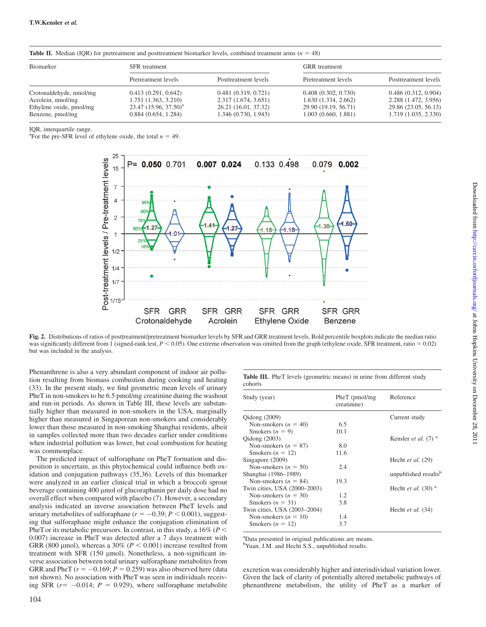**Table II.** Median (IQR) for pretreatment and posttreatment biomarker levels, combined treatment arms ( $n = 48$ )

| Biomarker                                                                                   | <b>SFR</b> treatment                                                                            |                                                                                             | <b>GRR</b> treatment                                                                      |                                                                                             |
|---------------------------------------------------------------------------------------------|-------------------------------------------------------------------------------------------------|---------------------------------------------------------------------------------------------|-------------------------------------------------------------------------------------------|---------------------------------------------------------------------------------------------|
|                                                                                             | Pretreatment levels                                                                             | Posttreatment levels                                                                        | Pretreatment levels                                                                       | Posttreatment levels                                                                        |
| Crotonaldehyde, nmol/mg<br>Acrolein, nmol/mg<br>Ethylene oxide, pmol/mg<br>Benzene, pmol/mg | 0.413(0.291, 0.642)<br>1.751(1.363, 3.210)<br>$23.47$ $(15.96, 37.50)^a$<br>0.884(0.654, 1.284) | 0.481(0.319, 0.721)<br>2.317 (1.674, 3.651)<br>26.21 (16.01, 37.32)<br>1.346 (0.730, 1.943) | 0.408(0.302, 0.730)<br>1.630(1.334, 2.662)<br>29.90 (19.19, 56.71)<br>1.003(0.660, 1.881) | 0.486(0.312, 0.904)<br>2.288 (1.472, 3.956)<br>29.86 (23.05, 56.13)<br>1.719 (1.035, 2.330) |

IQR, interquartile range.

<sup>a</sup>For the pre-SFR level of ethylene oxide, the total  $n = 49$ .



Fig. 2. Distributions of ratios of posttreatment/pretreatment biomarker levels by SFR and GRR treatment levels. Bold percentile boxplots indicate the median ratio was significantly different from 1 (signed-rank test,  $P < 0.05$ ). One extreme observation was omitted from the graph (ethylene oxide, SFR treatment, ratio = 0.02) but was included in the analysis.

Phenanthrene is also a very abundant component of indoor air pollution resulting from biomass combustion during cooking and heating (33). In the present study, we find geometric mean levels of urinary PheT in non-smokers to be 6.5 pmol/mg creatinine during the washout and run-in periods. As shown in Table III, these levels are substantially higher than measured in non-smokers in the USA, marginally higher than measured in Singaporean non-smokers and considerably lower than those measured in non-smoking Shanghai residents, albeit in samples collected more than two decades earlier under conditions when industrial pollution was lower, but coal combustion for heating was commonplace.

The predicted impact of sulforaphane on PheT formation and disposition is uncertain, as this phytochemical could influence both oxidation and conjugation pathways (35,36). Levels of this biomarker were analyzed in an earlier clinical trial in which a broccoli sprout beverage containing 400 µmol of glucoraphanin per daily dose had no overall effect when compared with placebo (7). However, a secondary analysis indicated an inverse association between PheT levels and urinary metabolites of sulforaphane ( $r = -0.39$ ;  $P < 0.001$ ), suggesting that sulforaphane might enhance the conjugation elimination of PheT or its metabolic precursors. In contrast, in this study, a  $16\%$  ( $P <$ 0.007) increase in PheT was detected after a 7 days treatment with GRR (800 µmol), whereas a 30% ( $P < 0.001$ ) increase resulted from treatment with SFR  $(150 \text{ \mu mol})$ . Nonetheless, a non-significant inverse association between total urinary sulforaphane metabolites from GRR and PheT  $(r = -0.169; P = 0.259)$  was also observed here (data not shown). No association with PheT was seen in individuals receiving SFR  $(r=-0.014; P = 0.929)$ , where sulforaphane metabolite

Table III. PheT levels (geometric means) in urine from different study cohorts

| Study (year)                 | $PheT$ (pmol/mg<br>creatinine)    | Reference     |
|------------------------------|-----------------------------------|---------------|
| Qidong (2009)                |                                   | Current study |
| Non-smokers $(n = 40)$       | 6.5                               |               |
| Smokers $(n = 9)$            | 10.1                              |               |
| Qidong (2003)                | Kensler et al. $(7)$ <sup>a</sup> |               |
| Non-smokers $(n = 87)$       | 8.0                               |               |
| Smokers $(n = 12)$           | 11.6                              |               |
| Singapore (2009)             | Hecht et al. (29)                 |               |
| Non-smokers $(n = 50)$       | 2.4                               |               |
| Shanghai (1986–1989)         | unpublished results <sup>b</sup>  |               |
| Non-smokers $(n = 84)$       | 19.3                              |               |
| Twin cities, USA (2000-2003) | Hecht et al. $(30)$ <sup>a</sup>  |               |
| Non-smokers $(n = 30)$       | 1.2                               |               |
| Smokers $(n = 31)$           | 3.8                               |               |
| Twin cities, USA (2003–2004) | Hecht et al. (34)                 |               |
| Non-smokers $(n = 10)$       | 1.4                               |               |
| Smokers $(n = 12)$           | 3.7                               |               |

<sup>a</sup>Data presented in original publications are means.

<sup>b</sup>Yuan, J.M. and Hecht S.S., unpublished results.

excretion was considerably higher and interindividual variation lower. Given the lack of clarity of potentially altered metabolic pathways of phenanthrene metabolism, the utility of PheT as a marker of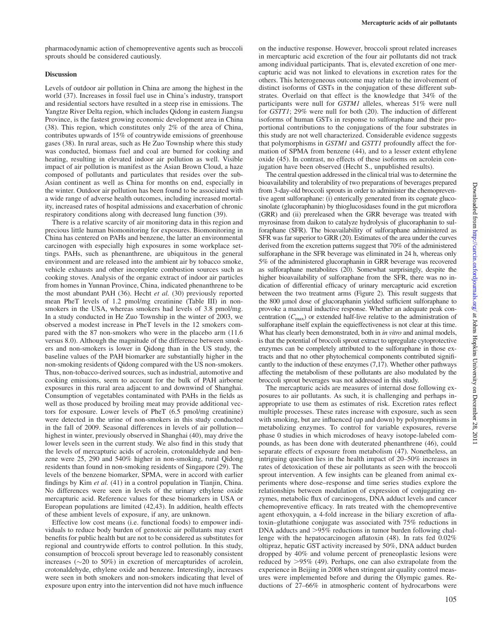## **Discussion**

Levels of outdoor air pollution in China are among the highest in the world (37). Increases in fossil fuel use in China's industry, transport and residential sectors have resulted in a steep rise in emissions. The Yangtze River Delta region, which includes Qidong in eastern Jiangsu Province, is the fastest growing economic development area in China (38). This region, which constitutes only 2% of the area of China, contributes upwards of 15% of countrywide emissions of greenhouse gases (38). In rural areas, such as He Zuo Township where this study was conducted, biomass fuel and coal are burned for cooking and heating, resulting in elevated indoor air pollution as well. Visible impact of air pollution is manifest as the Asian Brown Cloud, a haze composed of pollutants and particulates that resides over the sub-Asian continent as well as China for months on end, especially in the winter. Outdoor air pollution has been found to be associated with a wide range of adverse health outcomes, including increased mortality, increased rates of hospital admissions and exacerbation of chronic respiratory conditions along with decreased lung function (39).

There is a relative scarcity of air monitoring data in this region and precious little human biomonitoring for exposures. Biomonitoring in China has centered on PAHs and benzene, the latter an environmental carcinogen with especially high exposures in some workplace settings. PAHs, such as phenanthrene, are ubiquitous in the general environment and are released into the ambient air by tobacco smoke, vehicle exhausts and other incomplete combustion sources such as cooking stoves. Analysis of the organic extract of indoor air particles from homes in Yunnan Province, China, indicated phenanthrene to be the most abundant PAH (36). Hecht et al. (30) previously reported mean PheT levels of 1.2 pmol/mg creatinine (Table III) in nonsmokers in the USA, whereas smokers had levels of 3.8 pmol/mg. In a study conducted in He Zuo Township in the winter of 2003, we observed a modest increase in PheT levels in the 12 smokers compared with the 87 non-smokers who were in the placebo arm (11.6 versus 8.0). Although the magnitude of the difference between smokers and non-smokers is lower in Qidong than in the US study, the baseline values of the PAH biomarker are substantially higher in the non-smoking residents of Qidong compared with the US non-smokers. Thus, non-tobacco-derived sources, such as industrial, automotive and cooking emissions, seem to account for the bulk of PAH airborne exposures in this rural area adjacent to and downwind of Shanghai. Consumption of vegetables contaminated with PAHs in the fields as well as those produced by broiling meat may provide additional vectors for exposure. Lower levels of PheT (6.5 pmol/mg creatinine) were detected in the urine of non-smokers in this study conducted in the fall of 2009. Seasonal differences in levels of air pollution highest in winter, previously observed in Shanghai (40), may drive the lower levels seen in the current study. We also find in this study that the levels of mercapturic acids of acrolein, crotonaldehyde and benzene were 25, 290 and 540% higher in non-smoking, rural Qidong residents than found in non-smoking residents of Singapore (29). The levels of the benzene biomarker, SPMA, were in accord with earlier findings by Kim *et al.*  $(41)$  in a control population in Tianiin, China. No differences were seen in levels of the urinary ethylene oxide mercapturic acid. Reference values for these biomarkers in USA or European populations are limited (42,43). In addition, health effects of these ambient levels of exposure, if any, are unknown.

Effective low cost means (i.e. functional foods) to empower individuals to reduce body burden of genotoxic air pollutants may exert benefits for public health but are not to be considered as substitutes for regional and countrywide efforts to control pollution. In this study, consumption of broccoli sprout beverage led to reasonably consistent increases  $(\sim 20 \text{ to } 50\%)$  in excretion of mercapturides of acrolein, crotonaldehyde, ethylene oxide and benzene. Interestingly, increases were seen in both smokers and non-smokers indicating that level of exposure upon entry into the intervention did not have much influence

on the inductive response. However, broccoli sprout related increases in mercapturic acid excretion of the four air pollutants did not track among individual participants. That is, elevated excretion of one mercapturic acid was not linked to elevations in excretion rates for the others. This heterogeneous outcome may relate to the involvement of distinct isoforms of GSTs in the conjugation of these different substrates. Overlaid on that effect is the knowledge that 34% of the participants were null for GSTM1 alleles, whereas 51% were null for GSTT1; 29% were null for both (20). The induction of different isoforms of human GSTs in response to sulforaphane and their proportional contributions to the conjugations of the four substrates in this study are not well characterized. Considerable evidence suggests that polymorphisms in GSTM1 and GSTT1 profoundly affect the formation of SPMA from benzene (44), and to a lesser extent ethylene oxide (45). In contrast, no effects of these isoforms on acrolein conjugation have been observed (Hecht S., unpublished results).

The central question addressed in the clinical trial was to determine the bioavailability and tolerability of two preparations of beverages prepared from 3-day-old broccoli sprouts in order to administer the chemopreventive agent sulforaphane: (i) enterically generated from its cognate glucosinolate (glucoraphanin) by thioglucosidases found in the gut microflora (GRR) and (ii) prereleased when the GRR beverage was treated with myrosinase from daikon to catalyze hydrolysis of glucoraphanin to sulforaphane (SFR). The bioavailability of sulforaphane administered as SFR was far superior to GRR (20). Estimates of the area under the curves derived from the excretion patterns suggest that 70% of the administered sulforaphane in the SFR beverage was eliminated in 24 h, whereas only 5% of the administered glucoraphanin in GRR beverage was recovered as sulforaphane metabolites (20). Somewhat surprisingly, despite the higher bioavailability of sulforaphane from the SFR, there was no indication of differential efficacy of urinary mercapturic acid excretion between the two treatment arms (Figure 2). This result suggests that the 800 µmol dose of glucoraphanin yielded sufficient sulforaphane to provoke a maximal inductive response. Whether an adequate peak concentration  $(C_{\text{max}})$  or extended half-live relative to the administration of sulforaphane itself explain the equieffectiveness is not clear at this time. What has clearly been demonstrated, both in *in vitro* and animal models, is that the potential of broccoli sprout extract to upregulate cytoprotective enzymes can be completely attributed to the sulforaphane in those extracts and that no other phytochemical components contributed significantly to the induction of these enzymes (7,17). Whether other pathways affecting the metabolism of these pollutants are also modulated by the broccoli sprout beverages was not addressed in this study.

The mercapturic acids are measures of internal dose following exposures to air pollutants. As such, it is challenging and perhaps inappropriate to use them as estimates of risk. Excretion rates reflect multiple processes. These rates increase with exposure, such as seen with smoking, but are influenced (up and down) by polymorphisms in metabolizing enzymes. To control for variable exposures, reverse phase 0 studies in which microdoses of heavy isotope-labeled compounds, as has been done with deuterated phenanthrene (46), could separate effects of exposure from metabolism (47). Nonetheless, an intriguing question lies in the health impact of 20–50% increases in rates of detoxication of these air pollutants as seen with the broccoli sprout intervention. A few insights can be gleaned from animal experiments where dose–response and time series studies explore the relationships between modulation of expression of conjugating enzymes, metabolic flux of carcinogens, DNA adduct levels and cancer chemopreventive efficacy. In rats treated with the chemopreventive agent ethoxyquin, a 4-fold increase in the biliary excretion of aflatoxin–glutathione conjugate was associated with 75% reductions in DNA adducts and  $>95\%$  reductions in tumor burden following challenge with the hepatocarcinogen aflatoxin (48). In rats fed 0.02% oltipraz, hepatic GST activity increased by 50%, DNA adduct burden dropped by 40% and volume percent of preneoplastic lesions were reduced by  $>95\%$  (49). Perhaps, one can also extrapolate from the experience in Beijing in 2008 when stringent air quality control measures were implemented before and during the Olympic games. Reductions of 27–66% in atmospheric content of hydrocarbons were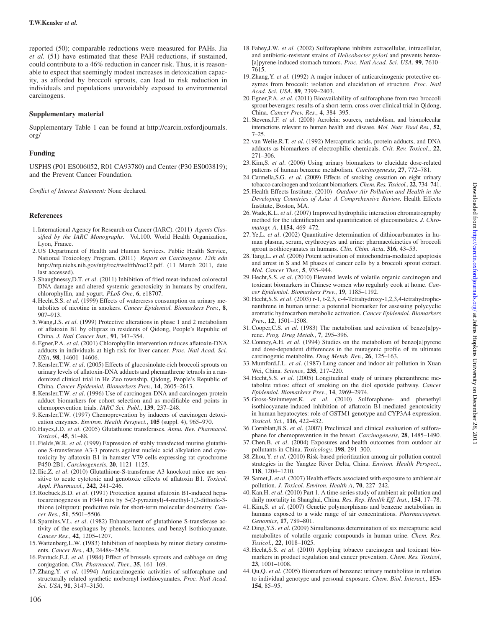reported (50); comparable reductions were measured for PAHs. Jia et al. (51) have estimated that these PAH reductions, if sustained, could contribute to a 46% reduction in cancer risk. Thus, it is reasonable to expect that seemingly modest increases in detoxication capacity, as afforded by broccoli sprouts, can lead to risk reduction in individuals and populations unavoidably exposed to environmental carcinogens.

# Supplementary material

[Supplementary Table 1](http://www.carcin.oxfordjournals.org/lookup/suppl/doi:10.1093/carcin/bgr229/-/DC1) can be found at [http://carcin.oxfordjournals.](http://carcin.oxfordjournals.org/) [org/](http://carcin.oxfordjournals.org/)

# Funding

USPHS (P01 ES006052, R01 CA93780) and Center (P30 ES003819); and the Prevent Cancer Foundation.

Conflict of Interest Statement: None declared.

# References

- 1.International Agency for Research on Cancer (IARC). (2011) Agents Classified by the IARC Monographs. Vol.100. World Health Organization, Lyon, France.
- 2.US Department of Health and Human Services. Public Health Service, National Toxicology Program. (2011) Report on Carcinogens. 12th edn <http://ntp.niehs.nih.gov/ntp/roc/twelfth/roc12.pdf>. (11 March 2011, date last accessed).
- 3.Shaughnessy,D.T. et al. (2011) Inhibition of fried meat-induced colorectal DNA damage and altered systemic genotoxicity in humans by crucifera, chlorophyllin, and yogurt. PLoS One, 6, e18707.
- 4.Hecht,S.S. et al. (1999) Effects of watercress consumption on urinary metabolites of nicotine in smokers. Cancer Epidemiol. Biomarkers Prev., 8, 907–913.
- 5.Wang,J.S. et al. (1999) Protective alterations in phase 1 and 2 metabolism of aflatoxin B1 by oltipraz in residents of Qidong, People's Republic of China. J. Natl Cancer Inst., 91, 347–354.
- 6.Egner,P.A. et al. (2001) Chlorophyllin intervention reduces aflatoxin-DNA adducts in individuals at high risk for liver cancer. Proc. Natl Acad. Sci. USA, 98, 14601–14606.
- 7.Kensler,T.W. et al. (2005) Effects of glucosinolate-rich broccoli sprouts on urinary levels of aflatoxin-DNA adducts and phenanthrene tetraols in a randomized clinical trial in He Zuo township, Qidong, People's Republic of China. Cancer Epidemiol. Biomarkers Prev., 14, 2605–2613.
- 8.Kensler,T.W. et al. (1996) Use of carcinogen-DNA and carcinogen-protein adduct biomarkers for cohort selection and as modifiable end points in chemoprevention trials. IARC Sci. Publ., 139, 237–248.
- 9.Kensler,T.W. (1997) Chemoprevention by inducers of carcinogen detoxication enzymes. Environ. Health Perspect., 105 (suppl. 4), 965–970.
- 10.Hayes,J.D. et al. (2005) Glutathione transferases. Annu. Rev. Pharmacol. Toxicol., 45, 51–88.
- 11.Fields,W.R. et al. (1999) Expression of stably transfected murine glutathione S-transferase A3-3 protects against nucleic acid alkylation and cytotoxicity by aflatoxin B1 in hamster V79 cells expressing rat cytochrome P450-2B1. Carcinogenesis, 20, 1121–1125.
- 12.Ilic,Z. et al. (2010) Glutathione-S-transferase A3 knockout mice are sensitive to acute cytotoxic and genotoxic effects of aflatoxin B1. Toxicol. Appl. Pharmacol., 242, 241–246.
- 13.Roebuck,B.D. et al. (1991) Protection against aflatoxin B1-induced hepatocarcinogenesis in F344 rats by 5-(2-pyrazinyl)-4-methyl-1,2-dithiole-3 thione (oltipraz): predictive role for short-term molecular dosimetry. Cancer Res., 51, 5501–5506.
- 14.Sparnins,V.L. et al. (1982) Enhancement of glutathione S-transferase activity of the esophagus by phenols, lactones, and benzyl isothiocyanate. Cancer Res., 42, 1205–1207.
- 15.Wattenberg,L.W. (1983) Inhibition of neoplasia by minor dietary constituents. Cancer Res., 43, 2448s–2453s.
- 16.Pantuck,E.J. et al. (1984) Effect of brussels sprouts and cabbage on drug conjugation. Clin. Pharmacol. Ther., 35, 161–169.
- 17.Zhang,Y. et al. (1994) Anticarcinogenic activities of sulforaphane and structurally related synthetic norbornyl isothiocyanates. Proc. Natl Acad. Sci. USA, 91, 3147–3150.
- 18.Fahey,J.W. et al. (2002) Sulforaphane inhibits extracellular, intracellular, and antibiotic-resistant strains of Helicobacter pylori and prevents benzo- [a]pyrene-induced stomach tumors. Proc. Natl Acad. Sci. USA, 99, 7610– 7615.
- 19.Zhang,Y. et al. (1992) A major inducer of anticarcinogenic protective enzymes from broccoli: isolation and elucidation of structure. Proc. Natl Acad. Sci. USA, 89, 2399–2403.
- 20.Egner,P.A. et al. (2011) Bioavailability of sulforaphane from two broccoli sprout beverages: results of a short-term, cross-over clinical trial in Qidong, China. Cancer Prev. Res., 4, 384–395.
- 21. Stevens, J.F. et al. (2008) Acrolein: sources, metabolism, and biomolecular interactions relevant to human health and disease. Mol. Nutr. Food Res., 52, 7–25.
- 22. van Welie, R.T. et al. (1992) Mercapturic acids, protein adducts, and DNA adducts as biomarkers of electrophilic chemicals. Crit. Rev. Toxicol., 22, 271–306.
- 23.Kim,S. et al. (2006) Using urinary biomarkers to elucidate dose-related patterns of human benzene metabolism. Carcinogenesis, 27, 772–781.
- 24. Carmella, S.G. et al. (2009) Effects of smoking cessation on eight urinary tobacco carcinogen and toxicant biomarkers. Chem. Res. Toxicol., 22, 734–741.
- 25.Health Effects Institute. (2010) Outdoor Air Pollution and Health in the Developing Countries of Asia: A Comprehensive Review. Health Effects Institute, Boston, MA.
- 26.Wade,K.L. et al. (2007) Improved hydrophilic interaction chromatrography method for the identification and quantification of glucosinolates. J. Chromatogr. A, 1154, 469-472.
- 27. Ye, L. et al. (2002) Quantitative determination of dithiocarbamates in human plasma, serum, erythrocytes and urine: pharmacokinetics of broccoli sprout isothiocyanates in humans. Clin. Chim. Acta, 316, 43–53.
- 28.Tang,L. et al. (2006) Potent activation of mitochondria-mediated apoptosis and arrest in S and M phases of cancer cells by a broccoli sprout extract. Mol. Cancer Ther., 5, 935–944.
- 29.Hecht,S.S. et al. (2010) Elevated levels of volatile organic carcinogen and toxicant biomarkers in Chinese women who regularly cook at home. Cancer Epidemiol. Biomarkers Prev., 19, 1185–1192.
- 30.Hecht,S.S. et al. (2003) r-1, t-2,3, c-4-Tetrahydroxy-1,2,3,4-tetrahydrophenanthrene in human urine: a potential biomarker for assessing polycyclic aromatic hydrocarbon metabolic activation. Cancer Epidemiol. Biomarkers Prev., 12, 1501–1508.
- 31.Cooper,C.S. et al. (1983) The metabolism and activation of benzo[a]pyrene. Prog. Drug Metab., 7, 295–396.
- 32.Conney,A.H. et al. (1994) Studies on the metabolism of benzo[a]pyrene and dose-dependent differences in the mutagenic profile of its ultimate carcinogenic metabolite. Drug Metab. Rev., 26, 125–163.
- 33.Mumford,J.L. et al. (1987) Lung cancer and indoor air pollution in Xuan Wei, China. Science, 235, 217–220.
- 34.Hecht,S.S. et al. (2005) Longitudinal study of urinary phenanthrene metabolite ratios: effect of smoking on the diol epoxide pathway. Cancer Epidemiol. Biomarkers Prev., 14, 2969–2974.
- 35.Gross-Steinmeyer,K. et al. (2010) Sulforaphane- and phenethyl isothiocyanate-induced inhibition of aflatoxin B1-mediated genotoxicity in human hepatocytes: role of GSTM1 genotype and CYP3A4 expression. Toxicol. Sci., 116, 422–432.
- 36.Cornblatt,B.S. et al. (2007) Preclinical and clinical evaluation of sulforaphane for chemoprevention in the breast. Carcinogenesis, 28, 1485–1490.
- 37.Chen,B. et al. (2004) Exposures and health outcomes from outdoor air pollutants in China. Toxicology, 198, 291–300.
- 38.Zhou,Y. et al. (2010) Risk-based prioritization among air pollution control strategies in the Yangtze River Delta, China. Environ. Health Perspect., 118, 1204–1210.
- 39.Samet,J. et al. (2007) Health effects associated with exposure to ambient air pollution. J. Toxicol. Environ. Health A, 70, 227–242.
- 40.Kan,H. et al. (2010) Part 1. A time-series study of ambient air pollution and daily mortality in Shanghai, China. Res. Rep. Health Eff. Inst., 154, 17–78.
- 41.Kim,S. et al. (2007) Genetic polymorphisms and benzene metabolism in humans exposed to a wide range of air concentrations. Pharmacogenet. Genomics, 17, 789–801.
- 42.Ding,Y.S. et al. (2009) Simultaneous determination of six mercapturic acid metabolites of volatile organic compounds in human urine. Chem. Res. Toxicol., 22, 1018–1025.
- 43. Hecht, S.S. et al. (2010) Applying tobacco carcinogen and toxicant biomarkers in product regulation and cancer prevention. Chem. Res. Toxicol, 23, 1001–1008.
- 44.Qu,Q. et al. (2005) Biomarkers of benzene: urinary metabolites in relation to individual genotype and personal exposure. Chem. Biol. Interact., 153- 154, 85–95.